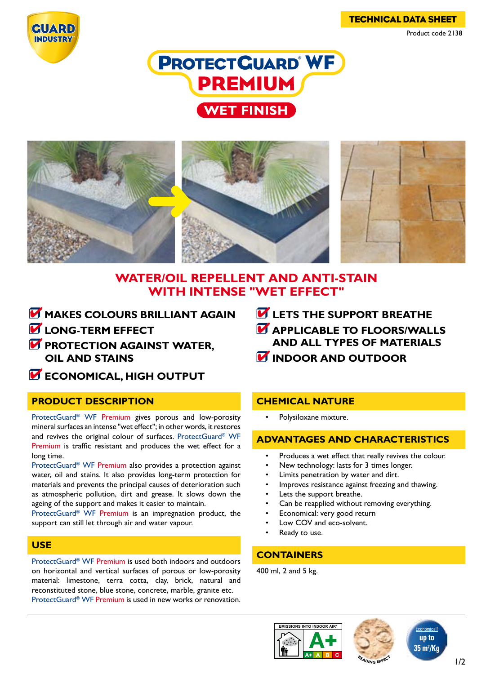TECHNICAL DATA SHEET Product code 2138







# **WATER/OIL REPELLENT AND ANTI-STAIN WITH INTENSE "WET EFFECT"**

- **M** MAKES COLOURS BRILLIANT AGAIN
- **LONG-TERM EFFECT**
- **PROTECTION AGAINST WATER. OIL AND STAINS**
- **ECONOMICAL, HIGH OUTPUT**

# **PRODUCT DESCRIPTION**

ProtectGuard® WF Premium gives porous and low-porosity mineral surfaces an intense "wet effect"; in other words, it restores and revives the original colour of surfaces. ProtectGuard® WF Premium is traffic resistant and produces the wet effect for a long time.

ProtectGuard® WF Premium also provides a protection against water, oil and stains. It also provides long-term protection for materials and prevents the principal causes of deterioration such as atmospheric pollution, dirt and grease. It slows down the ageing of the support and makes it easier to maintain.

ProtectGuard® WF Premium is an impregnation product, the support can still let through air and water vapour.

# **USE**

ProtectGuard® WF Premium is used both indoors and outdoors on horizontal and vertical surfaces of porous or low-porosity material: limestone, terra cotta, clay, brick, natural and reconstituted stone, blue stone, concrete, marble, granite etc.

ProtectGuard® WF Premium is used in new works or renovation.

- *C* LETS THE SUPPORT BREATHE
- **APPLICABLE TO FLOORS/WALLS AND ALL TYPES OF MATERIALS**
- **INDOOR AND OUTDOOR**

# **CHEMICAL NATURE**

Polysiloxane mixture.

# **ADVANTAGES AND CHARACTERISTICS**

- Produces a wet effect that really revives the colour.
- New technology: lasts for 3 times longer.
- Limits penetration by water and dirt.
- Improves resistance against freezing and thawing.
- Lets the support breathe.
- Can be reapplied without removing everything.
- Economical: very good return
- Low COV and eco-solvent.
	- Ready to use.

# **CONTAINERS**

400 ml, 2 and 5 kg.